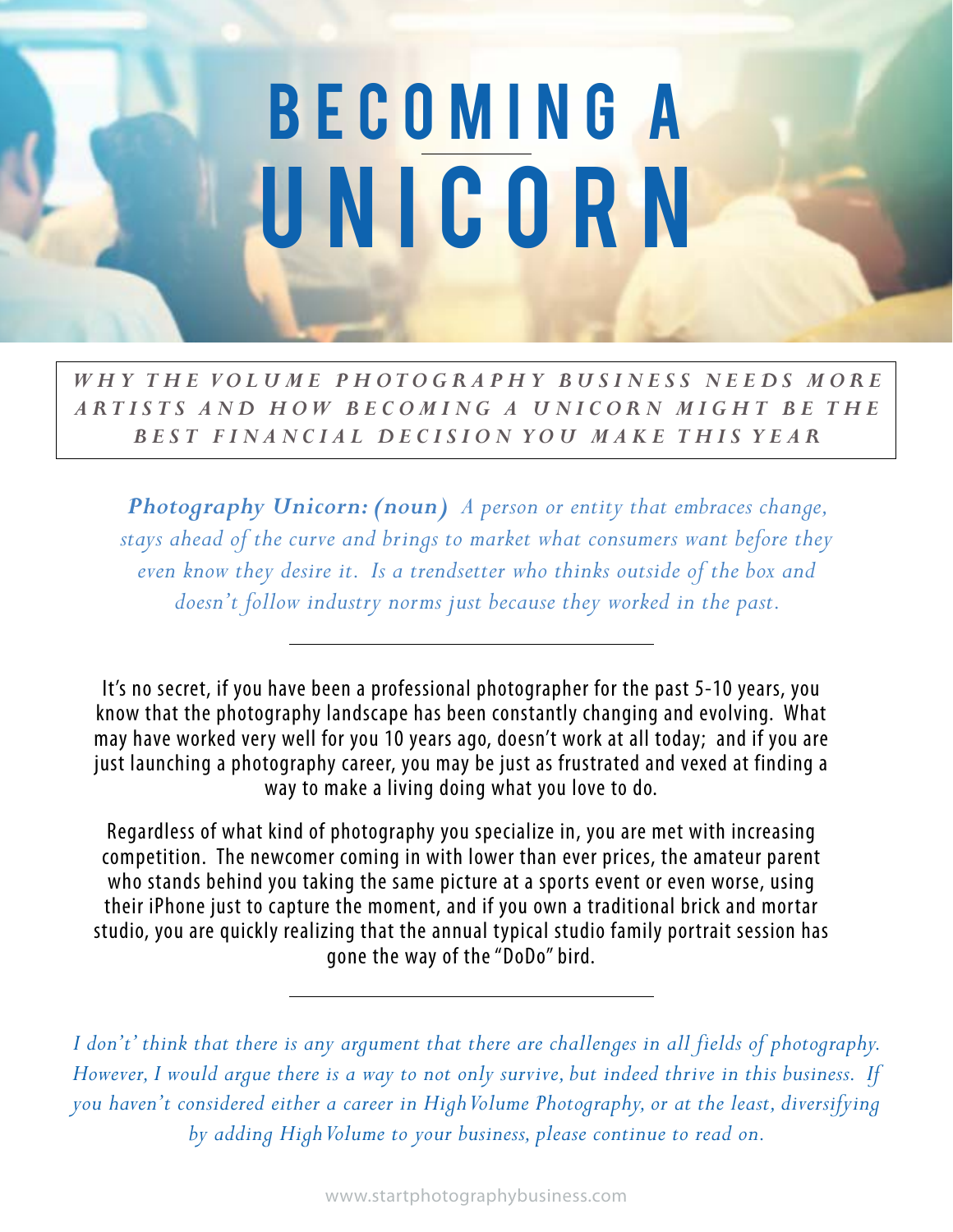## **BECOMING A** UNICORN

WHY THE VOLUME PHOTOGRAPHY BUSINESS NEEDS MORE *ARTISTS AND HOW BECOMING A UNICORN MIGHT BE THE B E S T F I N A N C I A L D E C I S I O N Y O U M A K E T H I S Y E A R*

*Photography Unicorn: (noun) A person or entity that embraces change, stays ahead of the curve and brings to market what consumers want before they even know they desire it. Is a trendsetter who thinks outside of the box and doesn't follow industry norms just because they worked in the past.* 

It's no secret, if you have been a professional photographer for the past 5-10 years, you know that the photography landscape has been constantly changing and evolving. What may have worked very well for you 10 years ago, doesn't work at all today; and if you are just launching a photography career, you may be just as frustrated and vexed at finding a way to make a living doing what you love to do.

Regardless of what kind of photography you specialize in, you are met with increasing competition. The newcomer coming in with lower than ever prices, the amateur parent who stands behind you taking the same picture at a sports event or even worse, using their iPhone just to capture the moment, and if you own a traditional brick and mortar studio, you are quickly realizing that the annual typical studio family portrait session has gone the way of the "DoDo" bird.

*I don't' think that there is any argument that there are challenges in all fields of photography. However, I would argue there is a way to not only survive, but indeed thrive in this business. If you haven't considered either a career in High Volume Photography, or at the least, diversifying by adding High Volume to your business, please continue to read on.*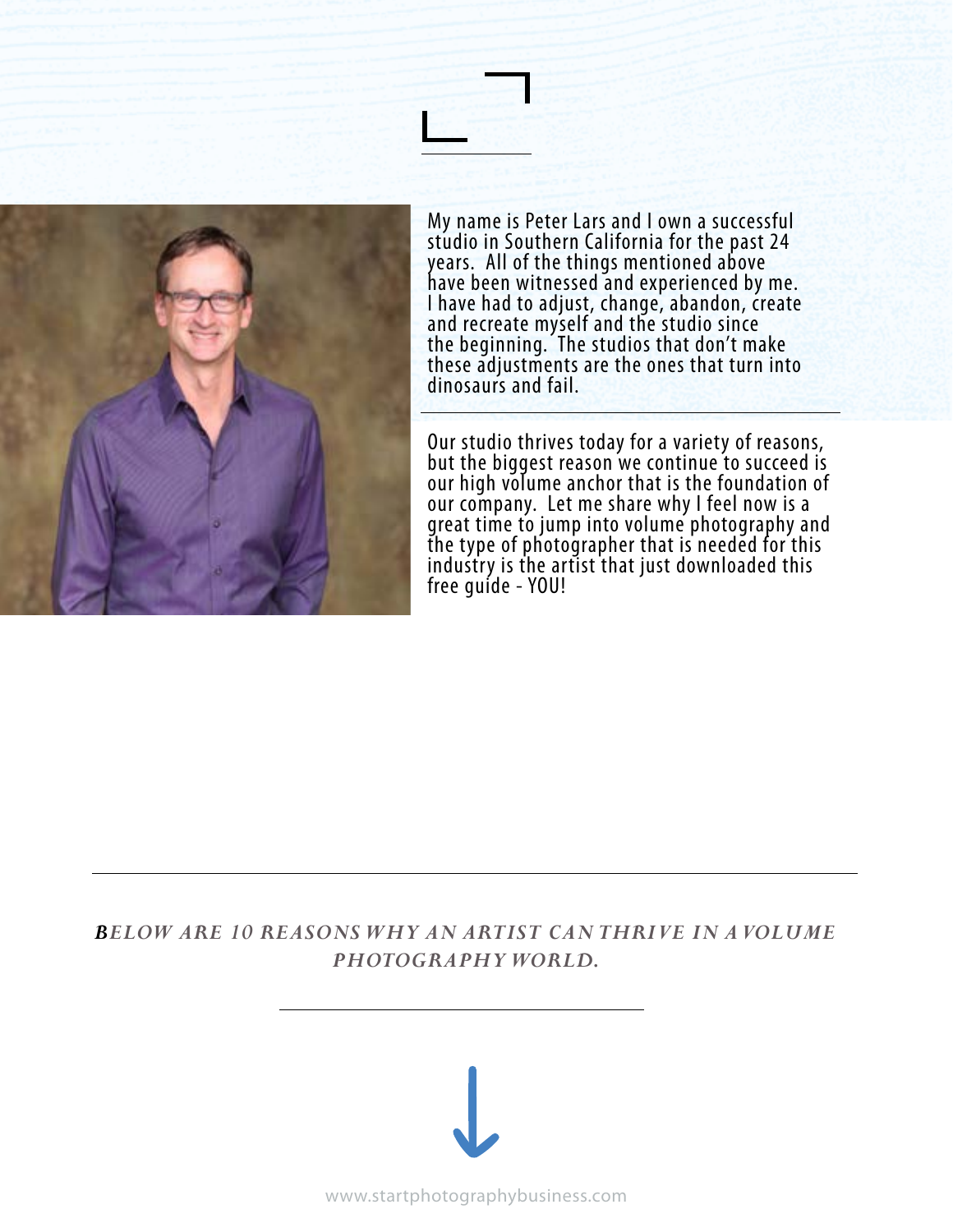

My name is Peter Lars and I own a successful studio in Southern California for the past 24 years. All of the things mentioned above have been witnessed and experienced by me. I have had to adjust, change, abandon, create and recreate myself and the studio since the beginning. The studios that don't make these adjustments are the ones that turn into dinosaurs and fail.

Our studio thrives today for a variety of reasons, but the biggest reason we continue to succeed is our high volume anchor that is the foundation of our company. Let me share why I feel now is a great time to jump into volume photography and the type of photographer that is needed for this industry is the artist that just downloaded this free guide - YOU!

## *BELOW ARE 10 REASONS WHY AN ARTIST CAN THRIVE IN A VOLUME PHOTOGRAPHY WORLD.*

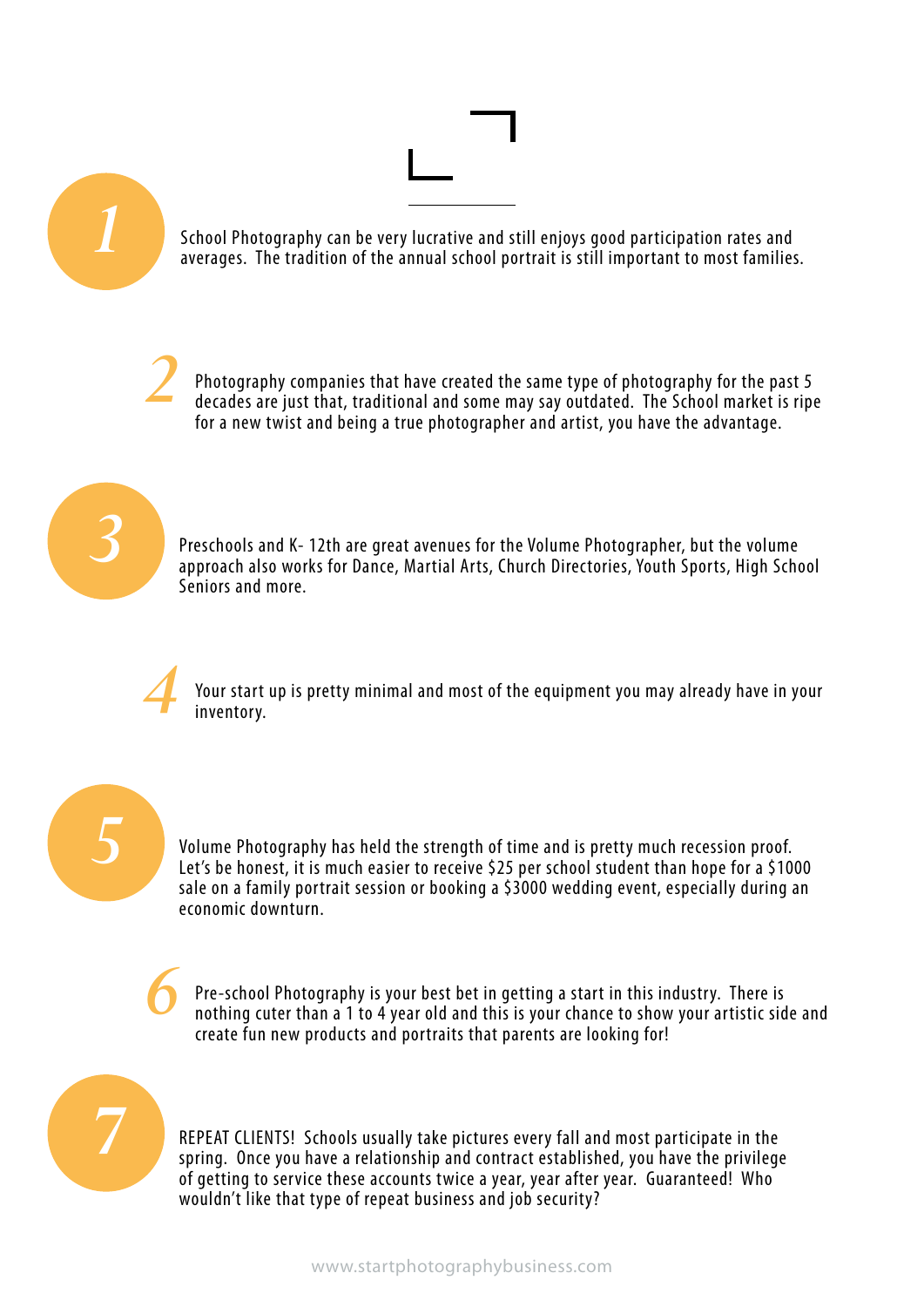

REPEAT CLIENTS! Schools usually take pictures every fall and most participate in the spring. Once you have a relationship and contract established, you have the privilege of getting to service these accounts twice a year, year after year. Guaranteed! Who wouldn't like that type of repeat business and job security?